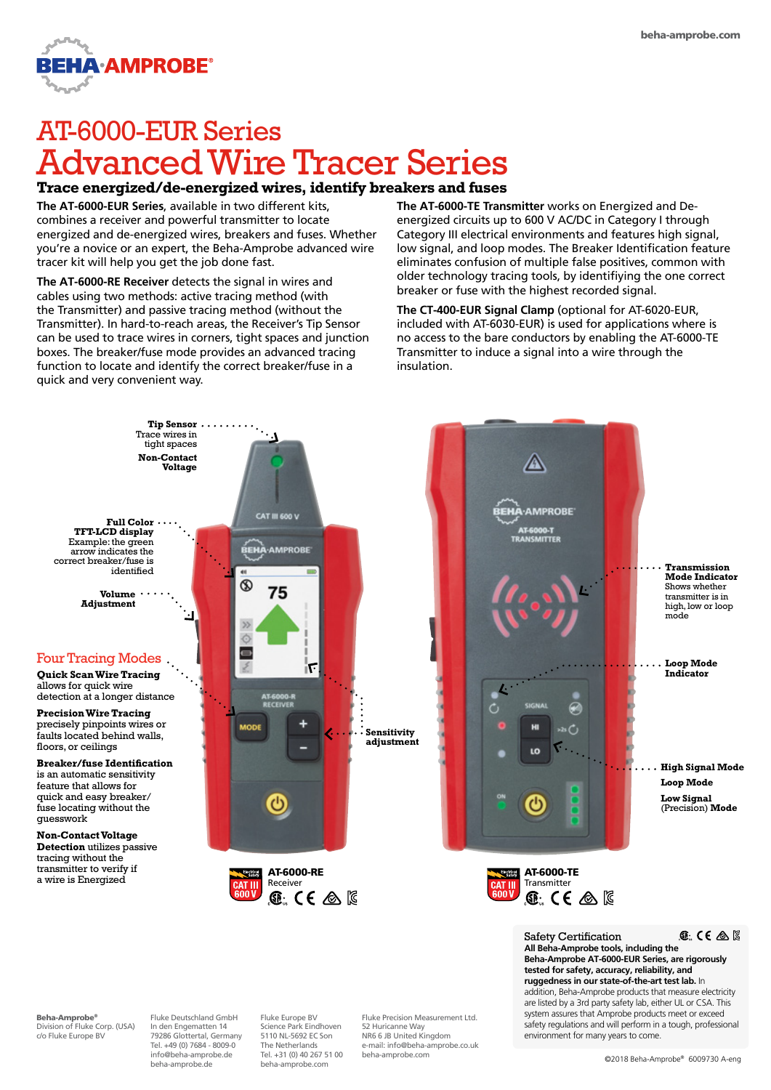

# AT-6000-EUR Series Advanced Wire Tracer Series

## **Trace energized/de-energized wires, identify breakers and fuses**

**The AT-6000-EUR Series**, available in two different kits, combines a receiver and powerful transmitter to locate energized and de-energized wires, breakers and fuses. Whether you're a novice or an expert, the Beha-Amprobe advanced wire tracer kit will help you get the job done fast.

**The AT-6000-RE Receiver** detects the signal in wires and cables using two methods: active tracing method (with the Transmitter) and passive tracing method (without the Transmitter). In hard-to-reach areas, the Receiver's Tip Sensor can be used to trace wires in corners, tight spaces and junction boxes. The breaker/fuse mode provides an advanced tracing function to locate and identify the correct breaker/fuse in a quick and very convenient way.

**The AT-6000-TE Transmitter** works on Energized and Deenergized circuits up to 600 V AC/DC in Category I through Category III electrical environments and features high signal, low signal, and loop modes. The Breaker Identification feature eliminates confusion of multiple false positives, common with older technology tracing tools, by identifiying the one correct breaker or fuse with the highest recorded signal.

**The CT-400-EUR Signal Clamp** (optional for AT-6020-EUR, included with AT-6030-EUR) is used for applications where is no access to the bare conductors by enabling the AT-6000-TE Transmitter to induce a signal into a wire through the insulation.



beha-amprobe.com

beha-amprobe.de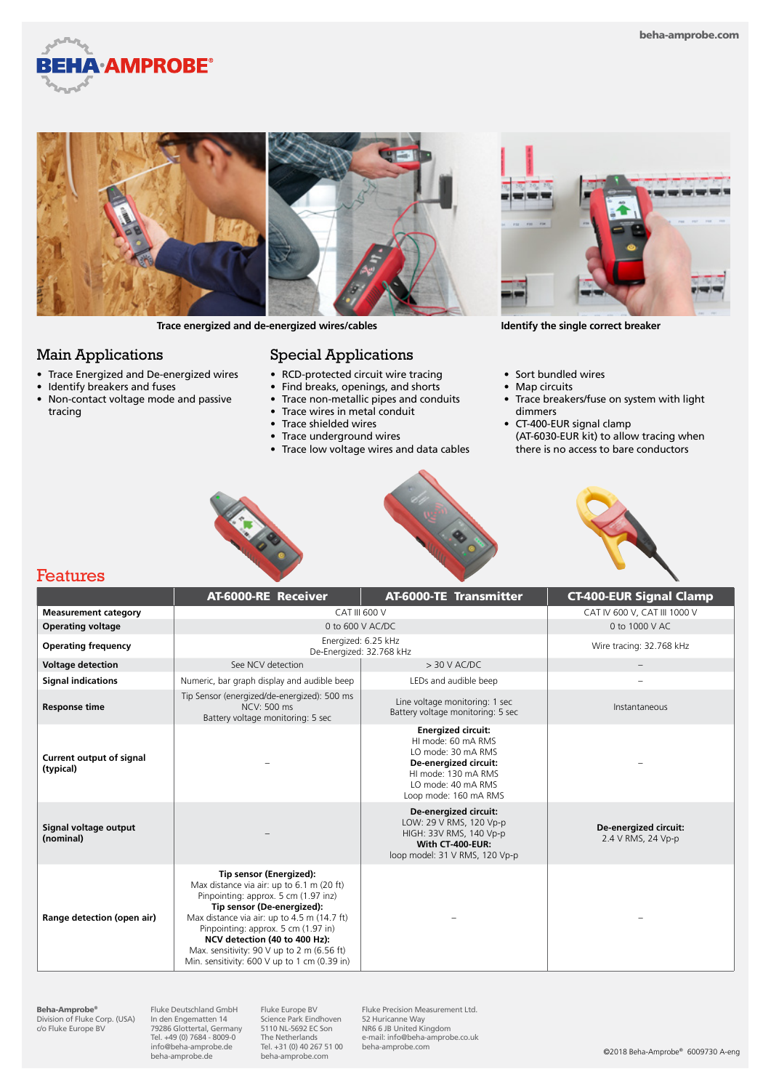



**Trace energized and de-energized wires/cables Identify the single correct breaker**

#### Main Applications

- Trace Energized and De-energized wires
- Identify breakers and fuses
- Non-contact voltage mode and passive tracing

# Special Applications

- RCD-protected circuit wire tracing
- Find breaks, openings, and shorts
- Trace non-metallic pipes and conduits
- Trace wires in metal conduit
- Trace shielded wires
- Trace underground wires
- Trace low voltage wires and data cables



- Sort bundled wires
- Map circuits
- Trace breakers/fuse on system with light dimmers
- CT-400-EUR signal clamp (AT-6030-EUR kit) to allow tracing when there is no access to bare conductors







### Features

|                                       | AT-6000-RE Receiver                                                                                                                                                                                                                                                                                                                                             | <b>AT-6000-TE Transmitter</b>                                                                                                                                        | <b>CT-400-EUR Signal Clamp</b>              |
|---------------------------------------|-----------------------------------------------------------------------------------------------------------------------------------------------------------------------------------------------------------------------------------------------------------------------------------------------------------------------------------------------------------------|----------------------------------------------------------------------------------------------------------------------------------------------------------------------|---------------------------------------------|
| <b>Measurement category</b>           | CAT III 600 V                                                                                                                                                                                                                                                                                                                                                   |                                                                                                                                                                      | CAT IV 600 V. CAT III 1000 V                |
| <b>Operating voltage</b>              | 0 to 600 V AC/DC                                                                                                                                                                                                                                                                                                                                                |                                                                                                                                                                      | 0 to 1000 V AC                              |
| <b>Operating frequency</b>            | Energized: 6.25 kHz<br>De-Energized: 32.768 kHz                                                                                                                                                                                                                                                                                                                 |                                                                                                                                                                      | Wire tracing: 32.768 kHz                    |
| <b>Voltage detection</b>              | See NCV detection                                                                                                                                                                                                                                                                                                                                               | $> 30$ V AC/DC                                                                                                                                                       |                                             |
| <b>Signal indications</b>             | Numeric, bar graph display and audible beep                                                                                                                                                                                                                                                                                                                     | LEDs and audible beep                                                                                                                                                |                                             |
| <b>Response time</b>                  | Tip Sensor (energized/de-energized): 500 ms<br>NCV: 500 ms<br>Battery voltage monitoring: 5 sec                                                                                                                                                                                                                                                                 | Line voltage monitoring: 1 sec<br>Battery voltage monitoring: 5 sec                                                                                                  | Instantaneous                               |
| Current output of signal<br>(typical) |                                                                                                                                                                                                                                                                                                                                                                 | <b>Energized circuit:</b><br>HI mode: 60 mA RMS<br>LO mode: 30 mA RMS<br>De-energized circuit:<br>HI mode: 130 mA RMS<br>LO mode: 40 mA RMS<br>Loop mode: 160 mA RMS |                                             |
| Signal voltage output<br>(nominal)    |                                                                                                                                                                                                                                                                                                                                                                 | De-energized circuit:<br>LOW: 29 V RMS, 120 Vp-p<br>HIGH: 33V RMS, 140 Vp-p<br>With CT-400-EUR:<br>loop model: 31 V RMS, 120 Vp-p                                    | De-energized circuit:<br>2.4 V RMS, 24 Vp-p |
| Range detection (open air)            | Tip sensor (Energized):<br>Max distance via air: up to 6.1 m (20 ft)<br>Pinpointing: approx. 5 cm (1.97 inz)<br>Tip sensor (De-energized):<br>Max distance via air: up to 4.5 m (14.7 ft)<br>Pinpointing: approx. 5 cm (1.97 in)<br>NCV detection (40 to 400 Hz):<br>Max. sensitivity: 90 V up to 2 m (6.56 ft)<br>Min. sensitivity: 600 V up to 1 cm (0.39 in) |                                                                                                                                                                      |                                             |

**Beha-Amprobe®**<br>Division of Fluke Corp. (USA)<br>c/o Fluke Europe BV

Fluke Deutschland GmbH In den Engematten 14 79286 Glottertal, Germany Tel. +49 (0) 7684 - 8009-0 info@beha-amprobe.de beha-amprobe.de

Fluke Europe BV Science Park Eindhoven 5110 NL-5692 EC Son The Netherlands Tel. +31 (0) 40 267 51 00 beha-amprobe.com

Fluke Precision Measurement Ltd. 52 Huricanne Way NR6 6 JB United Kingdom e-mail: info@beha-amprobe.co.uk beha-amprobe.com